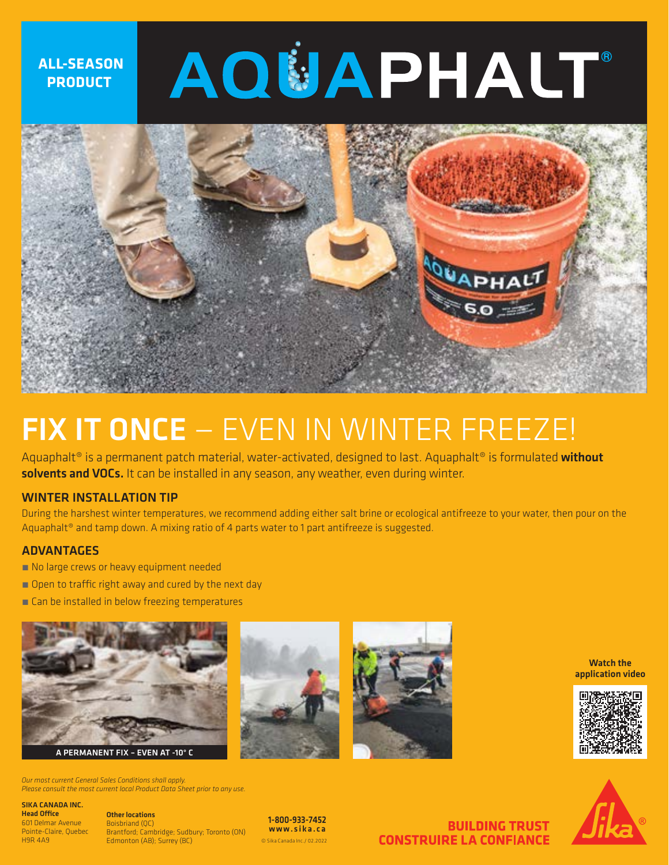## AQUAPHALT®



### FIX IT ONCE - EVEN IN WINTER FREEZE!

Aquaphalt<sup>®</sup> is a permanent patch material, water-activated, designed to last. Aquaphalt<sup>®</sup> is formulated without solvents and VOCs. It can be installed in any season, any weather, even during winter.

#### WINTER INSTALLATION TIP

 **ALL-SEASON PRODUCT**

During the harshest winter temperatures, we recommend adding either salt brine or ecological antifreeze to your water, then pour on the Aquaphalt® and tamp down. A mixing ratio of 4 parts water to 1 part antifreeze is suggested.

#### ADVANTAGES

- **No large crews or heavy equipment needed**
- **Open to traffic right away and cured by the next day**
- **Example installed in below freezing temperatures**





*Our most current General Sales Conditions shall apply. Please consult the most current local Product Data Sheet prior to any use.*

SIKA CANADA INC. Head Office 601 Delmar Avenue Pointe-Claire, Quebec H9R 4A9

Other locations Boisbriand (QC) Brantford; Cambridge; Sudbury; Toronto (ON) Edmonton (AB); Surrey (BC)

1-800-933-7452 www.sika.ca © Sika Canada Inc./ 02.2022



Watch the application video





**BUILDING TRUST CONSTRUIRE LA CONFIANCE**